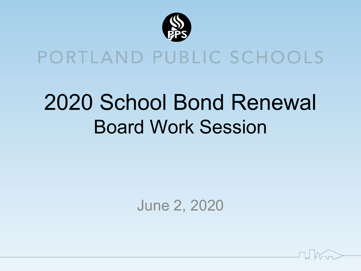

#### PORTLAND PUBLIC SCHOOLS

## 2020 School Bond Renewal Board Work Session

#### June 2, 2020

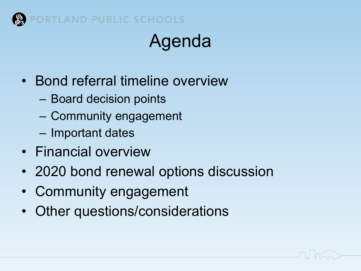

## Agenda

- Bond referral timeline overview
	- Board decision points
	- Community engagement
	- Important dates
- Financial overview
- 2020 bond renewal options discussion
- Community engagement
- Other questions/considerations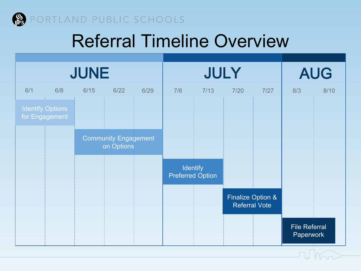

#### Referral Timeline Overview

| <b>JUNE</b> |                                           |                 |                                           |      | JULY |      |                      |                              | <b>AUG</b>                        |      |
|-------------|-------------------------------------------|-----------------|-------------------------------------------|------|------|------|----------------------|------------------------------|-----------------------------------|------|
| 6/1         | 6/8                                       | 6/15            | $6/22$                                    | 6/29 | 7/6  | 7/13 | 7/20                 | 7/27                         | 8/3                               | 8/10 |
|             | <b>Identify Options</b><br>for Engagement |                 |                                           |      |      |      |                      |                              |                                   |      |
|             |                                           |                 | <b>Community Engagement</b><br>on Options |      |      |      |                      |                              |                                   |      |
|             |                                           | <b>Identify</b> | <b>Preferred Option</b>                   |      |      |      |                      |                              |                                   |      |
|             |                                           |                 |                                           |      |      |      | <b>Referral Vote</b> | <b>Finalize Option &amp;</b> |                                   |      |
|             |                                           |                 |                                           |      |      |      |                      |                              | <b>File Referral</b><br>Paperwork |      |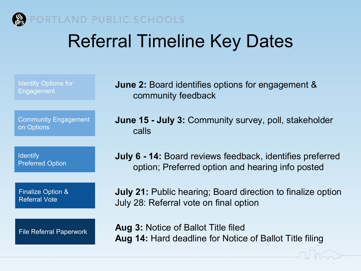

#### PORTLAND PUBLIC SCHOOLS

#### Referral Timeline Key Dates

| <b>Identify Options for</b>    | <b>June 2:</b> Board identifies options for engagement &                                                     |
|--------------------------------|--------------------------------------------------------------------------------------------------------------|
| Engagement                     | community feedback                                                                                           |
| <b>Community Engagement</b>    | <b>June 15 - July 3: Community survey, poll, stakeholder</b>                                                 |
| on Options                     | calls                                                                                                        |
| <b>Identify</b>                | <b>July 6 - 14:</b> Board reviews feedback, identifies preferred                                             |
| <b>Preferred Option</b>        | option; Preferred option and hearing info posted                                                             |
| <b>Finalize Option &amp;</b>   | <b>July 21:</b> Public hearing; Board direction to finalize option                                           |
| <b>Referral Vote</b>           | July 28: Referral vote on final option                                                                       |
| <b>File Referral Paperwork</b> | <b>Aug 3: Notice of Ballot Title filed</b><br><b>Aug 14: Hard deadline for Notice of Ballot Title filing</b> |

 $\begin{array}{c} \begin{array}{c} \begin{array}{c} \end{array} \\ \end{array} \end{array}$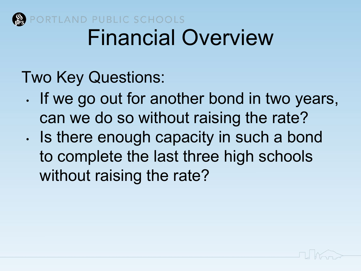

#### ORTLAND PUBLIC SCHOOLS Financial Overview

#### Two Key Questions:

- If we go out for another bond in two years, can we do so without raising the rate?
- Is there enough capacity in such a bond to complete the last three high schools without raising the rate?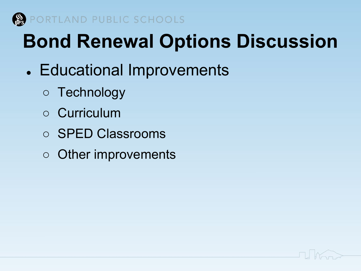

- Educational Improvements
	- Technology
	- Curriculum
	- SPED Classrooms
	- Other improvements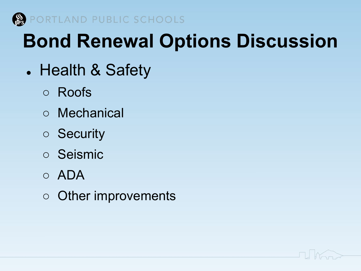

- Health & Safety
	- Roofs
	- Mechanical
	- Security
	- Seismic
	- ADA
	- Other improvements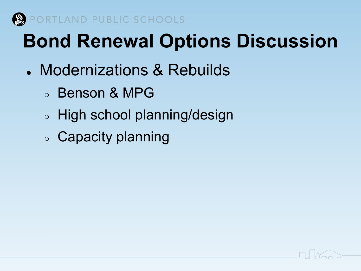

- Modernizations & Rebuilds
	- Benson & MPG
	- High school planning/design
	- Capacity planning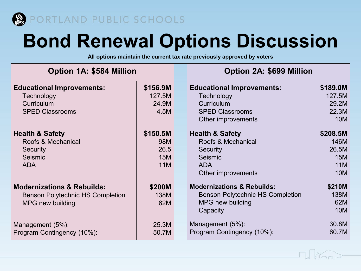

**All options maintain the current tax rate previously approved by voters**

| <b>Option 1A: \$584 Million</b>         |                 |  | <b>Option 2A: \$699 Million</b>         |                 |  |
|-----------------------------------------|-----------------|--|-----------------------------------------|-----------------|--|
| <b>Educational Improvements:</b>        | \$156.9M        |  | <b>Educational Improvements:</b>        | \$189.0M        |  |
| Technology<br>Curriculum                | 127.5M<br>24.9M |  | Technology<br>Curriculum                | 127.5M<br>29.2M |  |
| <b>SPED Classrooms</b>                  | 4.5M            |  | <b>SPED Classrooms</b>                  | 22.3M           |  |
|                                         |                 |  | Other improvements                      | 10M             |  |
| <b>Health &amp; Safety</b>              | \$150.5M        |  | <b>Health &amp; Safety</b>              | \$208.5M        |  |
| Roofs & Mechanical                      | 98M             |  | Roofs & Mechanical                      | 146M            |  |
| Security                                | 26.5            |  | Security                                | 26.5M           |  |
| Seismic                                 | <b>15M</b>      |  | Seismic                                 | <b>15M</b>      |  |
| <b>ADA</b>                              | <b>11M</b>      |  | <b>ADA</b>                              | 11M             |  |
|                                         |                 |  | Other improvements                      | 10M             |  |
| <b>Modernizations &amp; Rebuilds:</b>   | \$200M          |  | <b>Modernizations &amp; Rebuilds:</b>   | \$210M          |  |
| <b>Benson Polytechnic HS Completion</b> | 138M            |  | <b>Benson Polytechnic HS Completion</b> | 138M            |  |
| MPG new building                        | 62M             |  | MPG new building                        | 62M             |  |
|                                         |                 |  | Capacity                                | 10M             |  |
| Management (5%):                        | 25.3M           |  | Management (5%):                        | 30.8M           |  |
| Program Contingency (10%):              | 50.7M           |  | Program Contingency (10%):              | 60.7M           |  |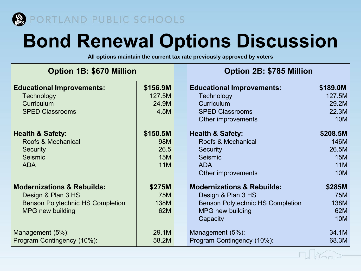

**All options maintain the current tax rate previously approved by voters**

| <b>Option 1B: \$670 Million</b>                                                                                                   |                                                     |  | <b>Option 2B: \$785 Million</b>                                                                                                               |                                                                     |  |
|-----------------------------------------------------------------------------------------------------------------------------------|-----------------------------------------------------|--|-----------------------------------------------------------------------------------------------------------------------------------------------|---------------------------------------------------------------------|--|
| <b>Educational Improvements:</b><br>Technology<br>Curriculum                                                                      | \$156.9M<br>127.5M<br>24.9M                         |  | <b>Educational Improvements:</b><br>Technology<br>Curriculum                                                                                  | \$189.0M<br>127.5M<br>29.2M                                         |  |
| <b>SPED Classrooms</b>                                                                                                            | 4.5M                                                |  | <b>SPED Classrooms</b><br>Other improvements                                                                                                  | 22.3M<br><b>10M</b>                                                 |  |
| <b>Health &amp; Safety:</b><br>Roofs & Mechanical<br><b>Security</b><br>Seismic<br><b>ADA</b>                                     | \$150.5M<br>98M<br>26.5<br><b>15M</b><br><b>11M</b> |  | <b>Health &amp; Safety:</b><br>Roofs & Mechanical<br>Security<br>Seismic<br><b>ADA</b><br>Other improvements                                  | \$208.5M<br>146M<br>26.5M<br><b>15M</b><br><b>11M</b><br><b>10M</b> |  |
| <b>Modernizations &amp; Rebuilds:</b><br>Design & Plan 3 HS<br><b>Benson Polytechnic HS Completion</b><br><b>MPG new building</b> | \$275M<br><b>75M</b><br>138M<br>62M                 |  | <b>Modernizations &amp; Rebuilds:</b><br>Design & Plan 3 HS<br><b>Benson Polytechnic HS Completion</b><br><b>MPG</b> new building<br>Capacity | \$285M<br><b>75M</b><br>138M<br>62M<br><b>10M</b>                   |  |
| Management (5%):<br>Program Contingency (10%):                                                                                    | 29.1M<br>58.2M                                      |  | Management (5%):<br>Program Contingency (10%):                                                                                                | 34.1M<br>68.3M                                                      |  |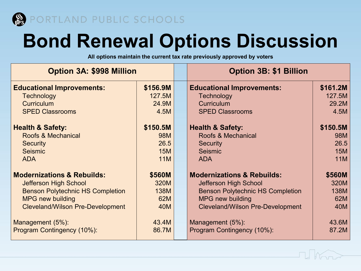

**All options maintain the current tax rate previously approved by voters**

| <b>Option 3A: \$998 Million</b>              |            |  | <b>Option 3B: \$1 Billion</b>           |            |  |
|----------------------------------------------|------------|--|-----------------------------------------|------------|--|
| <b>Educational Improvements:</b><br>\$156.9M |            |  | <b>Educational Improvements:</b>        | \$161.2M   |  |
| <b>Technology</b>                            | 127.5M     |  | Technology                              | 127.5M     |  |
| <b>Curriculum</b>                            | 24.9M      |  | <b>Curriculum</b>                       | 29.2M      |  |
| <b>SPED Classrooms</b>                       | 4.5M       |  | <b>SPED Classrooms</b>                  | 4.5M       |  |
| <b>Health &amp; Safety:</b>                  | \$150.5M   |  | <b>Health &amp; Safety:</b>             | \$150.5M   |  |
| Roofs & Mechanical                           | 98M        |  | Roofs & Mechanical                      | 98M        |  |
| <b>Security</b>                              | 26.5       |  | <b>Security</b>                         | 26.5       |  |
| Seismic                                      | <b>15M</b> |  | Seismic                                 | <b>15M</b> |  |
| <b>ADA</b>                                   | <b>11M</b> |  | <b>ADA</b>                              | <b>11M</b> |  |
| <b>Modernizations &amp; Rebuilds:</b>        | \$560M     |  | <b>Modernizations &amp; Rebuilds:</b>   | \$560M     |  |
| <b>Jefferson High School</b>                 | 320M       |  | Jefferson High School                   | 320M       |  |
| <b>Benson Polytechnic HS Completion</b>      | 138M       |  | <b>Benson Polytechnic HS Completion</b> | 138M       |  |
| <b>MPG new building</b>                      | 62M        |  | <b>MPG new building</b>                 | 62M        |  |
| <b>Cleveland/Wilson Pre-Development</b>      | 40M        |  | <b>Cleveland/Wilson Pre-Development</b> | 40M        |  |
| Management (5%):                             | 43.4M      |  | Management (5%):                        | 43.6M      |  |
| Program Contingency (10%):                   | 86.7M      |  | Program Contingency (10%):              | 87.2M      |  |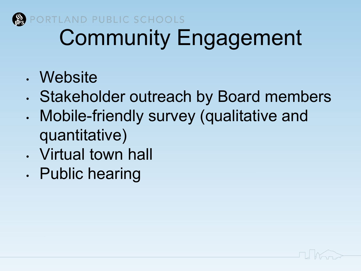

#### PORTLAND PUBLIC SCHOOLS Community Engagement

- Website
- Stakeholder outreach by Board members
- Mobile-friendly survey (qualitative and quantitative)
- Virtual town hall
- Public hearing